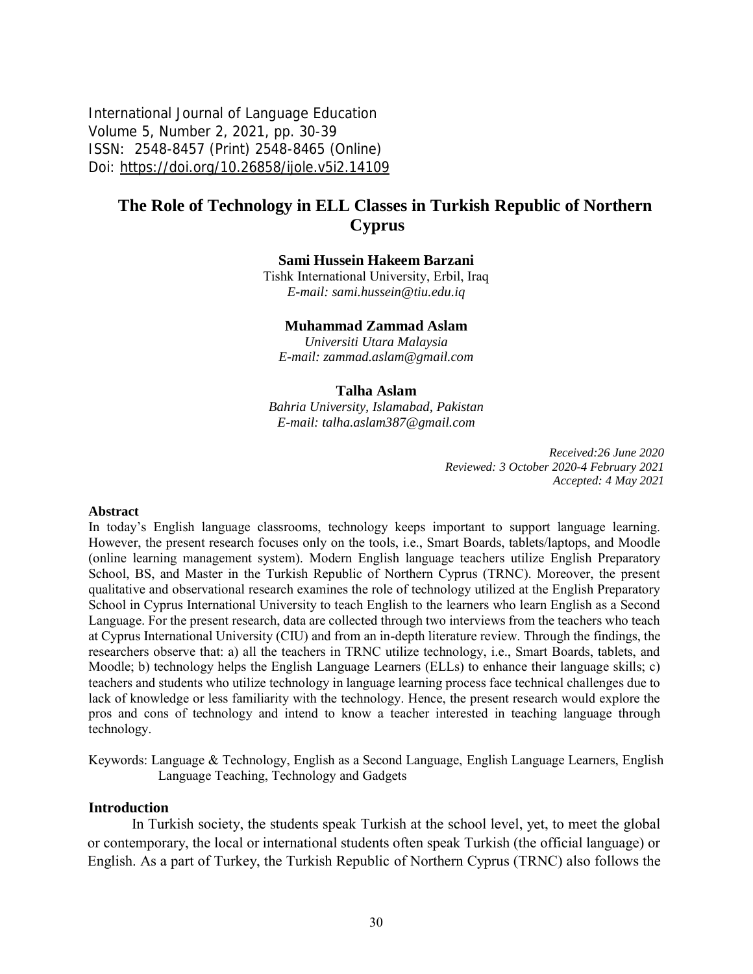International Journal of Language Education Volume 5, Number 2, 2021, pp. 30-39 ISSN: 2548-8457 (Print) 2548-8465 (Online) Doi: <https://doi.org/10.26858/ijole.v5i2.14109>

# **The Role of Technology in ELL Classes in Turkish Republic of Northern Cyprus**

### **Sami Hussein Hakeem Barzani**

Tishk International University, Erbil, Iraq *E-mail: [sami.hussein@tiu.edu.iq](mailto:sami.hussein@tiu.edu.iq)*

#### **Muhammad Zammad Aslam**

*Universiti Utara Malaysia E-mail: [zammad.aslam@gmail.com](mailto:zammad.aslam@gmail.com)*

#### **Talha Aslam**

*Bahria University, Islamabad, Pakistan E-mail: [talha.aslam387@gmail.com](mailto:talha.aslam387@gmail.com)*

> *Received:26 June 2020 Reviewed: 3 October 2020-4 February 2021 Accepted: 4 May 2021*

#### **Abstract**

In today's English language classrooms, technology keeps important to support language learning. However, the present research focuses only on the tools, i.e., Smart Boards, tablets/laptops, and Moodle (online learning management system). Modern English language teachers utilize English Preparatory School, BS, and Master in the Turkish Republic of Northern Cyprus (TRNC). Moreover, the present qualitative and observational research examines the role of technology utilized at the English Preparatory School in Cyprus International University to teach English to the learners who learn English as a Second Language. For the present research, data are collected through two interviews from the teachers who teach at Cyprus International University (CIU) and from an in-depth literature review. Through the findings, the researchers observe that: a) all the teachers in TRNC utilize technology, i.e., Smart Boards, tablets, and Moodle; b) technology helps the English Language Learners (ELLs) to enhance their language skills; c) teachers and students who utilize technology in language learning process face technical challenges due to lack of knowledge or less familiarity with the technology. Hence, the present research would explore the pros and cons of technology and intend to know a teacher interested in teaching language through technology.

Keywords: Language & Technology, English as a Second Language, English Language Learners, English Language Teaching, Technology and Gadgets

#### **Introduction**

In Turkish society, the students speak Turkish at the school level, yet, to meet the global or contemporary, the local or international students often speak Turkish (the official language) or English. As a part of Turkey, the Turkish Republic of Northern Cyprus (TRNC) also follows the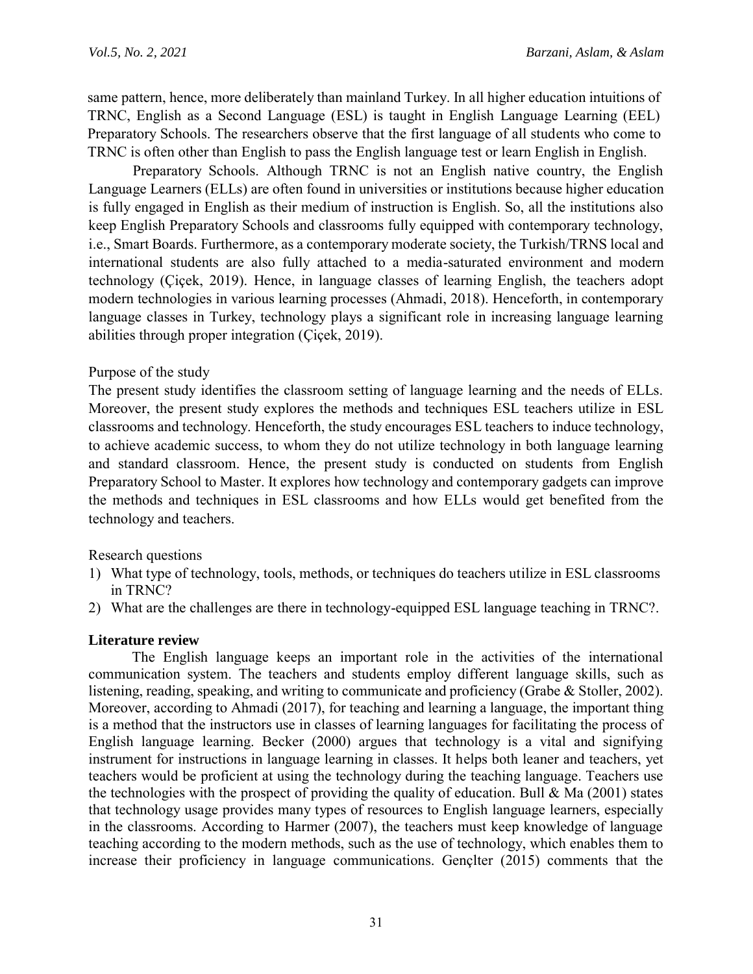same pattern, hence, more deliberately than mainland Turkey. In all higher education intuitions of TRNC, English as a Second Language (ESL) is taught in English Language Learning (EEL) Preparatory Schools. The researchers observe that the first language of all students who come to TRNC is often other than English to pass the English language test or learn English in English.

Preparatory Schools. Although TRNC is not an English native country, the English Language Learners (ELLs) are often found in universities or institutions because higher education is fully engaged in English as their medium of instruction is English. So, all the institutions also keep English Preparatory Schools and classrooms fully equipped with contemporary technology, i.e., Smart Boards. Furthermore, as a contemporary moderate society, the Turkish/TRNS local and international students are also fully attached to a media-saturated environment and modern technology (Çiçek, 2019). Hence, in language classes of learning English, the teachers adopt modern technologies in various learning processes (Ahmadi, 2018). Henceforth, in contemporary language classes in Turkey, technology plays a significant role in increasing language learning abilities through proper integration (Çiçek, 2019).

# Purpose of the study

The present study identifies the classroom setting of language learning and the needs of ELLs. Moreover, the present study explores the methods and techniques ESL teachers utilize in ESL classrooms and technology. Henceforth, the study encourages ESL teachers to induce technology, to achieve academic success, to whom they do not utilize technology in both language learning and standard classroom. Hence, the present study is conducted on students from English Preparatory School to Master. It explores how technology and contemporary gadgets can improve the methods and techniques in ESL classrooms and how ELLs would get benefited from the technology and teachers.

Research questions

- 1) What type of technology, tools, methods, or techniques do teachers utilize in ESL classrooms in TRNC?
- 2) What are the challenges are there in technology-equipped ESL language teaching in TRNC?.

# **Literature review**

The English language keeps an important role in the activities of the international communication system. The teachers and students employ different language skills, such as listening, reading, speaking, and writing to communicate and proficiency (Grabe & Stoller, 2002). Moreover, according to Ahmadi (2017), for teaching and learning a language, the important thing is a method that the instructors use in classes of learning languages for facilitating the process of English language learning. Becker (2000) argues that technology is a vital and signifying instrument for instructions in language learning in classes. It helps both leaner and teachers, yet teachers would be proficient at using the technology during the teaching language. Teachers use the technologies with the prospect of providing the quality of education. Bull  $\&$  Ma (2001) states that technology usage provides many types of resources to English language learners, especially in the classrooms. According to Harmer (2007), the teachers must keep knowledge of language teaching according to the modern methods, such as the use of technology, which enables them to increase their proficiency in language communications. Gençlter (2015) comments that the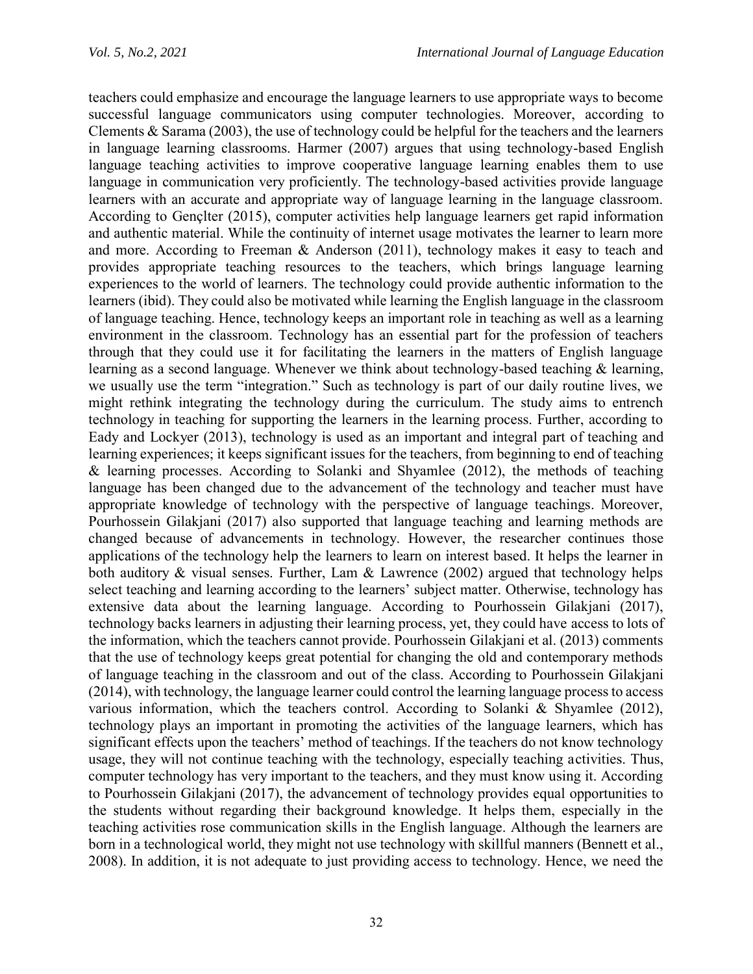teachers could emphasize and encourage the language learners to use appropriate ways to become successful language communicators using computer technologies. Moreover, according to Clements & Sarama (2003), the use of technology could be helpful for the teachers and the learners in language learning classrooms. Harmer (2007) argues that using technology-based English language teaching activities to improve cooperative language learning enables them to use language in communication very proficiently. The technology-based activities provide language learners with an accurate and appropriate way of language learning in the language classroom. According to Gençlter (2015), computer activities help language learners get rapid information and authentic material. While the continuity of internet usage motivates the learner to learn more and more. According to Freeman & Anderson (2011), technology makes it easy to teach and provides appropriate teaching resources to the teachers, which brings language learning experiences to the world of learners. The technology could provide authentic information to the learners (ibid). They could also be motivated while learning the English language in the classroom of language teaching. Hence, technology keeps an important role in teaching as well as a learning environment in the classroom. Technology has an essential part for the profession of teachers through that they could use it for facilitating the learners in the matters of English language learning as a second language. Whenever we think about technology-based teaching & learning, we usually use the term "integration." Such as technology is part of our daily routine lives, we might rethink integrating the technology during the curriculum. The study aims to entrench technology in teaching for supporting the learners in the learning process. Further, according to Eady and Lockyer (2013), technology is used as an important and integral part of teaching and learning experiences; it keeps significant issues for the teachers, from beginning to end of teaching & learning processes. According to Solanki and Shyamlee (2012), the methods of teaching language has been changed due to the advancement of the technology and teacher must have appropriate knowledge of technology with the perspective of language teachings. Moreover, Pourhossein Gilakjani (2017) also supported that language teaching and learning methods are changed because of advancements in technology. However, the researcher continues those applications of the technology help the learners to learn on interest based. It helps the learner in both auditory  $\&$  visual senses. Further, Lam  $\&$  Lawrence (2002) argued that technology helps select teaching and learning according to the learners' subject matter. Otherwise, technology has extensive data about the learning language. According to Pourhossein Gilakjani (2017), technology backs learners in adjusting their learning process, yet, they could have access to lots of the information, which the teachers cannot provide. Pourhossein Gilakjani et al. (2013) comments that the use of technology keeps great potential for changing the old and contemporary methods of language teaching in the classroom and out of the class. According to Pourhossein Gilakjani (2014), with technology, the language learner could control the learning language process to access various information, which the teachers control. According to Solanki & Shyamlee (2012), technology plays an important in promoting the activities of the language learners, which has significant effects upon the teachers' method of teachings. If the teachers do not know technology usage, they will not continue teaching with the technology, especially teaching activities. Thus, computer technology has very important to the teachers, and they must know using it. According to Pourhossein Gilakjani (2017), the advancement of technology provides equal opportunities to the students without regarding their background knowledge. It helps them, especially in the teaching activities rose communication skills in the English language. Although the learners are born in a technological world, they might not use technology with skillful manners (Bennett et al., 2008). In addition, it is not adequate to just providing access to technology. Hence, we need the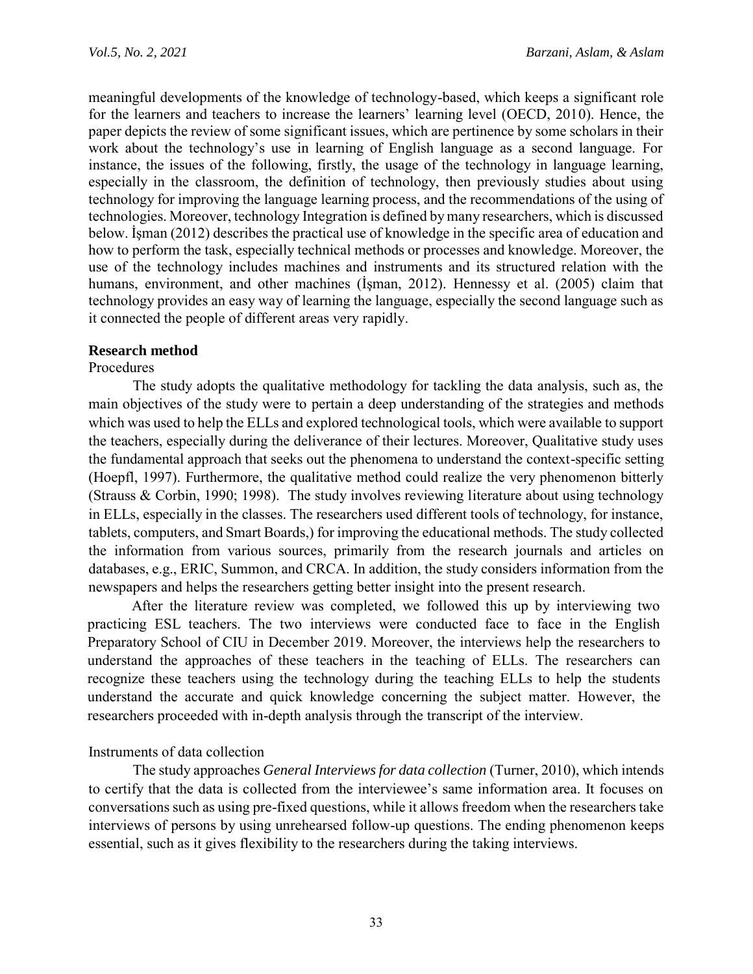meaningful developments of the knowledge of technology-based, which keeps a significant role for the learners and teachers to increase the learners' learning level (OECD, 2010). Hence, the paper depicts the review of some significant issues, which are pertinence by some scholars in their work about the technology's use in learning of English language as a second language. For instance, the issues of the following, firstly, the usage of the technology in language learning, especially in the classroom, the definition of technology, then previously studies about using technology for improving the language learning process, and the recommendations of the using of technologies. Moreover, technology Integration is defined by many researchers, which is discussed below. İşman (2012) describes the practical use of knowledge in the specific area of education and how to perform the task, especially technical methods or processes and knowledge. Moreover, the use of the technology includes machines and instruments and its structured relation with the humans, environment, and other machines (İşman, 2012). Hennessy et al. (2005) claim that technology provides an easy way of learning the language, especially the second language such as it connected the people of different areas very rapidly.

### **Research method**

### Procedures

The study adopts the qualitative methodology for tackling the data analysis, such as, the main objectives of the study were to pertain a deep understanding of the strategies and methods which was used to help the ELLs and explored technological tools, which were available to support the teachers, especially during the deliverance of their lectures. Moreover, Qualitative study uses the fundamental approach that seeks out the phenomena to understand the context-specific setting (Hoepfl, 1997). Furthermore, the qualitative method could realize the very phenomenon bitterly (Strauss & Corbin, 1990; 1998). The study involves reviewing literature about using technology in ELLs, especially in the classes. The researchers used different tools of technology, for instance, tablets, computers, and Smart Boards,) for improving the educational methods. The study collected the information from various sources, primarily from the research journals and articles on databases, e.g., ERIC, Summon, and CRCA. In addition, the study considers information from the newspapers and helps the researchers getting better insight into the present research.

After the literature review was completed, we followed this up by interviewing two practicing ESL teachers. The two interviews were conducted face to face in the English Preparatory School of CIU in December 2019. Moreover, the interviews help the researchers to understand the approaches of these teachers in the teaching of ELLs. The researchers can recognize these teachers using the technology during the teaching ELLs to help the students understand the accurate and quick knowledge concerning the subject matter. However, the researchers proceeded with in-depth analysis through the transcript of the interview.

### Instruments of data collection

The study approaches *General Interviews for data collection* (Turner, 2010), which intends to certify that the data is collected from the interviewee's same information area. It focuses on conversations such as using pre-fixed questions, while it allows freedom when the researchers take interviews of persons by using unrehearsed follow-up questions. The ending phenomenon keeps essential, such as it gives flexibility to the researchers during the taking interviews.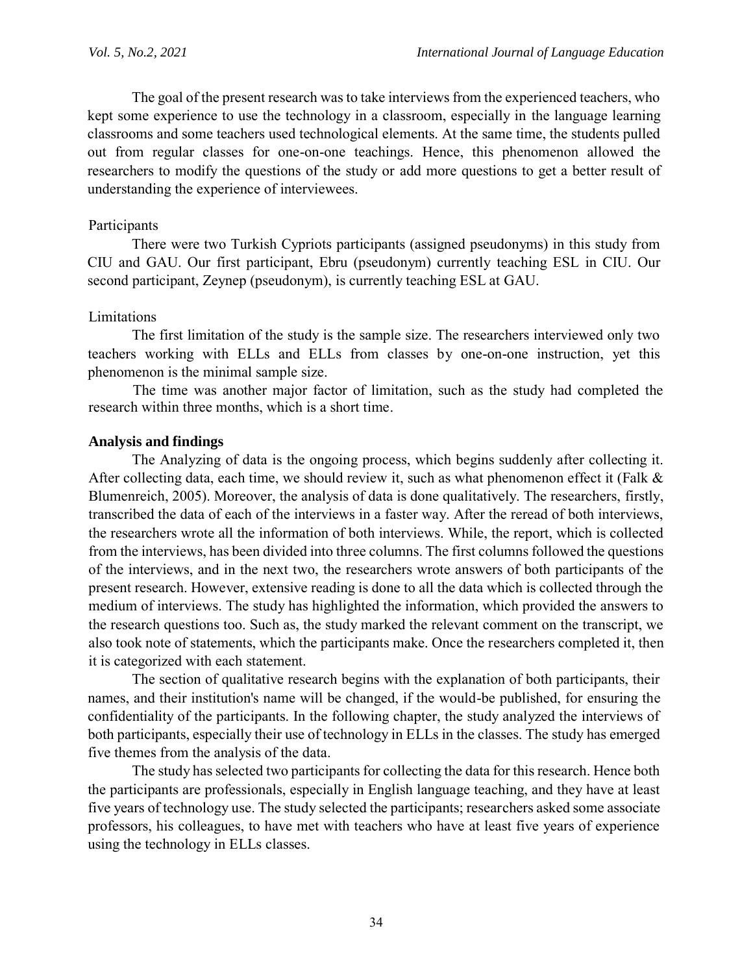The goal of the present research was to take interviews from the experienced teachers, who kept some experience to use the technology in a classroom, especially in the language learning classrooms and some teachers used technological elements. At the same time, the students pulled out from regular classes for one-on-one teachings. Hence, this phenomenon allowed the researchers to modify the questions of the study or add more questions to get a better result of understanding the experience of interviewees.

### Participants

There were two Turkish Cypriots participants (assigned pseudonyms) in this study from CIU and GAU. Our first participant, Ebru (pseudonym) currently teaching ESL in CIU. Our second participant, Zeynep (pseudonym), is currently teaching ESL at GAU.

### Limitations

The first limitation of the study is the sample size. The researchers interviewed only two teachers working with ELLs and ELLs from classes by one-on-one instruction, yet this phenomenon is the minimal sample size.

The time was another major factor of limitation, such as the study had completed the research within three months, which is a short time.

### **Analysis and findings**

The Analyzing of data is the ongoing process, which begins suddenly after collecting it. After collecting data, each time, we should review it, such as what phenomenon effect it (Falk & Blumenreich, 2005). Moreover, the analysis of data is done qualitatively. The researchers, firstly, transcribed the data of each of the interviews in a faster way. After the reread of both interviews, the researchers wrote all the information of both interviews. While, the report, which is collected from the interviews, has been divided into three columns. The first columns followed the questions of the interviews, and in the next two, the researchers wrote answers of both participants of the present research. However, extensive reading is done to all the data which is collected through the medium of interviews. The study has highlighted the information, which provided the answers to the research questions too. Such as, the study marked the relevant comment on the transcript, we also took note of statements, which the participants make. Once the researchers completed it, then it is categorized with each statement.

The section of qualitative research begins with the explanation of both participants, their names, and their institution's name will be changed, if the would-be published, for ensuring the confidentiality of the participants. In the following chapter, the study analyzed the interviews of both participants, especially their use of technology in ELLs in the classes. The study has emerged five themes from the analysis of the data.

The study has selected two participants for collecting the data for this research. Hence both the participants are professionals, especially in English language teaching, and they have at least five years of technology use. The study selected the participants; researchers asked some associate professors, his colleagues, to have met with teachers who have at least five years of experience using the technology in ELLs classes.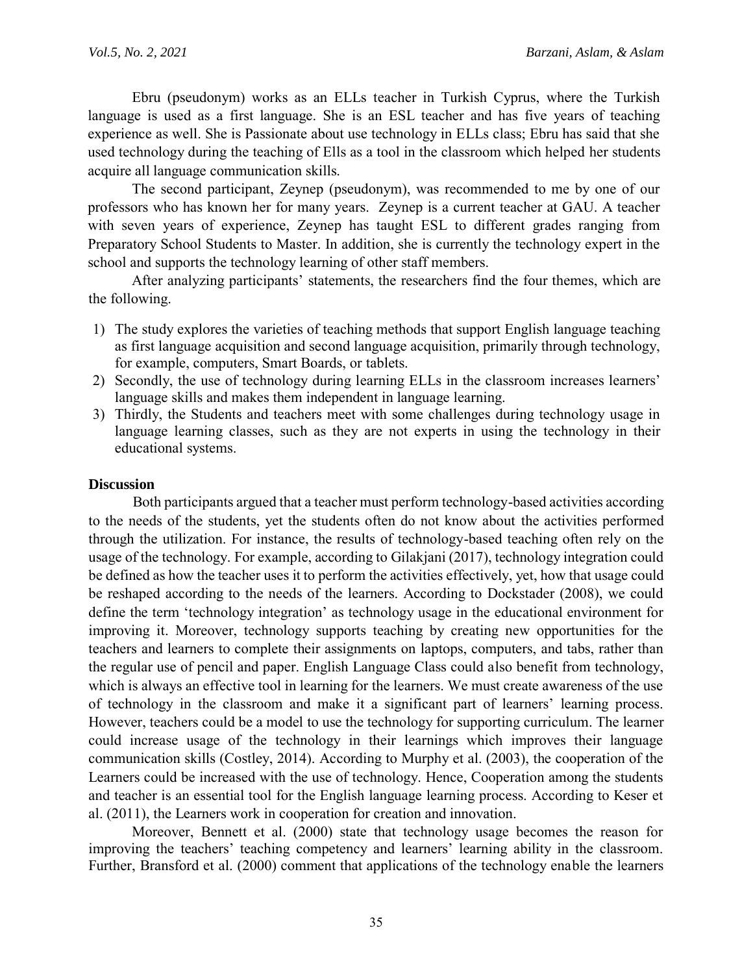Ebru (pseudonym) works as an ELLs teacher in Turkish Cyprus, where the Turkish language is used as a first language. She is an ESL teacher and has five years of teaching experience as well. She is Passionate about use technology in ELLs class; Ebru has said that she used technology during the teaching of Ells as a tool in the classroom which helped her students acquire all language communication skills.

The second participant, Zeynep (pseudonym), was recommended to me by one of our professors who has known her for many years. Zeynep is a current teacher at GAU. A teacher with seven years of experience, Zeynep has taught ESL to different grades ranging from Preparatory School Students to Master. In addition, she is currently the technology expert in the school and supports the technology learning of other staff members.

After analyzing participants' statements, the researchers find the four themes, which are the following.

- 1) The study explores the varieties of teaching methods that support English language teaching as first language acquisition and second language acquisition, primarily through technology, for example, computers, Smart Boards, or tablets.
- 2) Secondly, the use of technology during learning ELLs in the classroom increases learners' language skills and makes them independent in language learning.
- 3) Thirdly, the Students and teachers meet with some challenges during technology usage in language learning classes, such as they are not experts in using the technology in their educational systems.

### **Discussion**

Both participants argued that a teacher must perform technology-based activities according to the needs of the students, yet the students often do not know about the activities performed through the utilization. For instance, the results of technology-based teaching often rely on the usage of the technology. For example, according to Gilakjani (2017), technology integration could be defined as how the teacher uses it to perform the activities effectively, yet, how that usage could be reshaped according to the needs of the learners. According to Dockstader (2008), we could define the term 'technology integration' as technology usage in the educational environment for improving it. Moreover, technology supports teaching by creating new opportunities for the teachers and learners to complete their assignments on laptops, computers, and tabs, rather than the regular use of pencil and paper. English Language Class could also benefit from technology, which is always an effective tool in learning for the learners. We must create awareness of the use of technology in the classroom and make it a significant part of learners' learning process. However, teachers could be a model to use the technology for supporting curriculum. The learner could increase usage of the technology in their learnings which improves their language communication skills (Costley, 2014). According to Murphy et al. (2003), the cooperation of the Learners could be increased with the use of technology. Hence, Cooperation among the students and teacher is an essential tool for the English language learning process. According to Keser et al. (2011), the Learners work in cooperation for creation and innovation.

Moreover, Bennett et al. (2000) state that technology usage becomes the reason for improving the teachers' teaching competency and learners' learning ability in the classroom. Further, Bransford et al. (2000) comment that applications of the technology enable the learners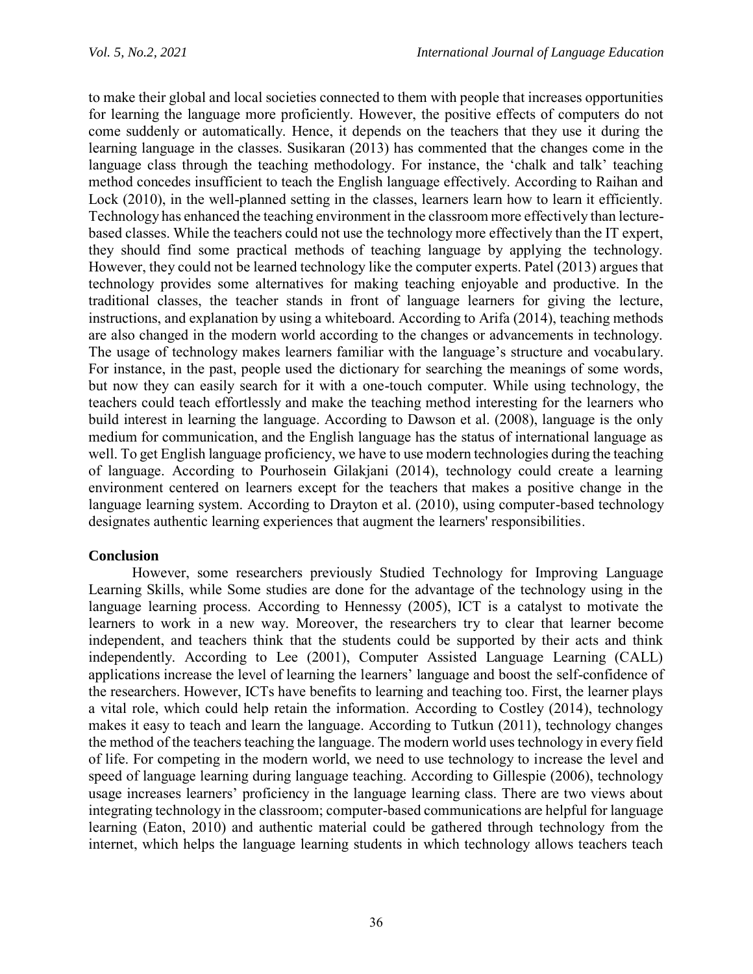to make their global and local societies connected to them with people that increases opportunities for learning the language more proficiently. However, the positive effects of computers do not come suddenly or automatically. Hence, it depends on the teachers that they use it during the learning language in the classes. Susikaran (2013) has commented that the changes come in the language class through the teaching methodology. For instance, the 'chalk and talk' teaching method concedes insufficient to teach the English language effectively. According to Raihan and Lock (2010), in the well-planned setting in the classes, learners learn how to learn it efficiently. Technology has enhanced the teaching environment in the classroom more effectively than lecturebased classes. While the teachers could not use the technology more effectively than the IT expert, they should find some practical methods of teaching language by applying the technology. However, they could not be learned technology like the computer experts. Patel (2013) argues that technology provides some alternatives for making teaching enjoyable and productive. In the traditional classes, the teacher stands in front of language learners for giving the lecture, instructions, and explanation by using a whiteboard. According to Arifa (2014), teaching methods are also changed in the modern world according to the changes or advancements in technology. The usage of technology makes learners familiar with the language's structure and vocabulary. For instance, in the past, people used the dictionary for searching the meanings of some words, but now they can easily search for it with a one-touch computer. While using technology, the teachers could teach effortlessly and make the teaching method interesting for the learners who build interest in learning the language. According to Dawson et al. (2008), language is the only medium for communication, and the English language has the status of international language as well. To get English language proficiency, we have to use modern technologies during the teaching of language. According to Pourhosein Gilakjani (2014), technology could create a learning environment centered on learners except for the teachers that makes a positive change in the language learning system. According to Drayton et al. (2010), using computer-based technology designates authentic learning experiences that augment the learners' responsibilities.

# **Conclusion**

However, some researchers previously Studied Technology for Improving Language Learning Skills, while Some studies are done for the advantage of the technology using in the language learning process. According to Hennessy (2005), ICT is a catalyst to motivate the learners to work in a new way. Moreover, the researchers try to clear that learner become independent, and teachers think that the students could be supported by their acts and think independently. According to Lee (2001), Computer Assisted Language Learning (CALL) applications increase the level of learning the learners' language and boost the self-confidence of the researchers. However, ICTs have benefits to learning and teaching too. First, the learner plays a vital role, which could help retain the information. According to Costley (2014), technology makes it easy to teach and learn the language. According to Tutkun (2011), technology changes the method of the teachers teaching the language. The modern world uses technology in every field of life. For competing in the modern world, we need to use technology to increase the level and speed of language learning during language teaching. According to Gillespie (2006), technology usage increases learners' proficiency in the language learning class. There are two views about integrating technology in the classroom; computer-based communications are helpful for language learning (Eaton, 2010) and authentic material could be gathered through technology from the internet, which helps the language learning students in which technology allows teachers teach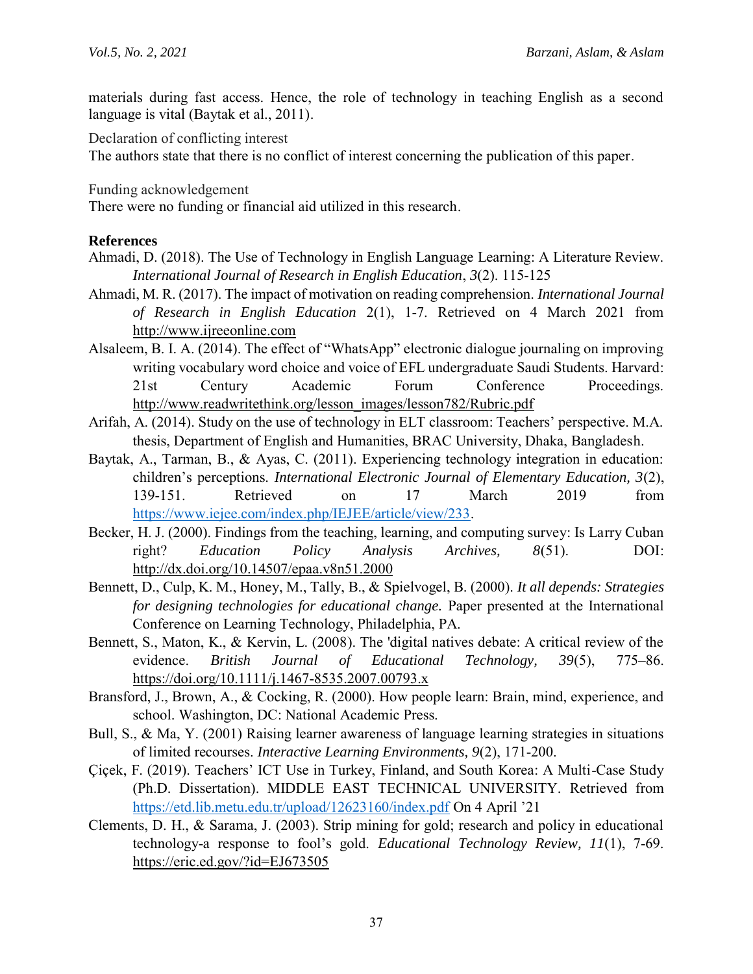materials during fast access. Hence, the role of technology in teaching English as a second language is vital (Baytak et al., 2011).

Declaration of conflicting interest

The authors state that there is no conflict of interest concerning the publication of this paper.

Funding acknowledgement

There were no funding or financial aid utilized in this research.

### **References**

- Ahmadi, D. (2018). [The Use of Technology in English Language Learning: A Literature Review.](http://ijreeonline.com/article-1-120-en.pdf) *International Journal of Research in English Education*, *3*(2). 115-125
- Ahmadi, M. R. (2017). The impact of motivation on reading comprehension. *International Journal of Research in English Education* 2(1), 1-7. Retrieved on 4 March 2021 from [http://www.ijreeonline.com](http://www.ijreeonline.com/)
- Alsaleem, B. I. A. (2014). The effect of "WhatsApp" electronic dialogue journaling on improving writing vocabulary word choice and voice of EFL undergraduate Saudi Students. Harvard: 21st Century Academic Forum Conference Proceedings. [http://www.readwritethink.org/lesson\\_images/lesson782/Rubric.pdf](http://www.readwritethink.org/lesson_images/lesson782/Rubric.pdf)
- Arifah, A. (2014). Study on the use of technology in ELT classroom: Teachers' perspective. M.A. thesis, Department of English and Humanities, BRAC University, Dhaka, Bangladesh.
- Baytak, A., Tarman, B., & Ayas, C. (2011). Experiencing technology integration in education: children's perceptions. *International Electronic Journal of Elementary Education, 3*(2), 139-151. Retrieved on 17 March 2019 from [https://www.iejee.com/index.php/IEJEE/article/view/233.](https://www.iejee.com/index.php/IEJEE/article/view/233)
- Becker, H. J. (2000). Findings from the teaching, learning, and computing survey: Is Larry Cuban right? *Education Policy Analysis Archives, 8*(51). DOI: <http://dx.doi.org/10.14507/epaa.v8n51.2000>
- Bennett, D., Culp, K. M., Honey, M., Tally, B., & Spielvogel, B. (2000). *It all depends: Strategies for designing technologies for educational change.* Paper presented at the International Conference on Learning Technology, Philadelphia, PA.
- Bennett, S., Maton, K., & Kervin, L. (2008). The 'digital natives debate: A critical review of the evidence. *British Journal of Educational Technology, 39*(5), 775–86. <https://doi.org/10.1111/j.1467-8535.2007.00793.x>
- Bransford, J., Brown, A., & Cocking, R. (2000). How people learn: Brain, mind, experience, and school. Washington, DC: National Academic Press.
- Bull, S., & Ma, Y. (2001) Raising learner awareness of language learning strategies in situations of limited recourses. *Interactive Learning Environments, 9*(2), 171-200.
- Çiçek, F. (2019). Teachers' ICT Use in Turkey, Finland, and South Korea: A Multi-Case Study (Ph.D. Dissertation). MIDDLE EAST TECHNICAL UNIVERSITY. Retrieved from <https://etd.lib.metu.edu.tr/upload/12623160/index.pdf> On 4 April '21
- Clements, D. H., & Sarama, J. (2003). Strip mining for gold; research and policy in educational technology-a response to fool's gold. *Educational Technology Review, 11*(1), 7-69. <https://eric.ed.gov/?id=EJ673505>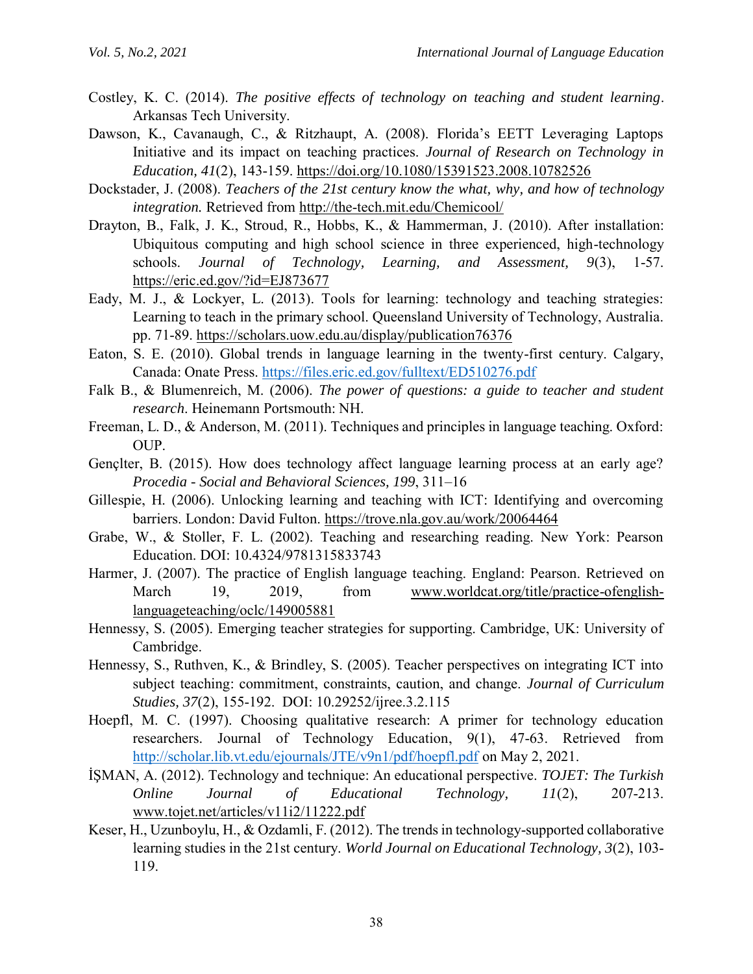- Costley, K. C. (2014). *The positive effects of technology on teaching and student learning*. Arkansas Tech University.
- Dawson, K., Cavanaugh, C., & Ritzhaupt, A. (2008). Florida's EETT Leveraging Laptops Initiative and its impact on teaching practices. *Journal of Research on Technology in Education, 41*(2), 143-159.<https://doi.org/10.1080/15391523.2008.10782526>
- Dockstader, J. (2008). *Teachers of the 21st century know the what, why, and how of technology integration.* Retrieved from<http://the-tech.mit.edu/Chemicool/>
- Drayton, B., Falk, J. K., Stroud, R., Hobbs, K., & Hammerman, J. (2010). After installation: Ubiquitous computing and high school science in three experienced, high-technology schools. *Journal of Technology, Learning, and Assessment, 9*(3), 1-57. <https://eric.ed.gov/?id=EJ873677>
- Eady, M. J., & Lockyer, L. (2013). Tools for learning: technology and teaching strategies: Learning to teach in the primary school. Queensland University of Technology, Australia. pp. 71-89.<https://scholars.uow.edu.au/display/publication76376>
- Eaton, S. E. (2010). Global trends in language learning in the twenty-first century. Calgary, Canada: Onate Press.<https://files.eric.ed.gov/fulltext/ED510276.pdf>
- Falk B., & Blumenreich, M. (2006). *The power of questions: a guide to teacher and student research*. Heinemann Portsmouth: NH.
- Freeman, L. D., & Anderson, M. (2011). Techniques and principles in language teaching. Oxford: OUP.
- Gençlter, B. (2015). How does technology affect language learning process at an early age? *Procedia - Social and Behavioral Sciences, 199*, 311–16
- Gillespie, H. (2006). Unlocking learning and teaching with ICT: Identifying and overcoming barriers. London: David Fulton.<https://trove.nla.gov.au/work/20064464>
- Grabe, W., & Stoller, F. L. (2002). Teaching and researching reading. New York: Pearson Education. DOI: 10.4324/9781315833743
- Harmer, J. (2007). The practice of English language teaching. England: Pearson. Retrieved on March 19, 2019, from [www.worldcat.org/title/practice-ofenglish](http://www.worldcat.org/title/practice-ofenglish-language-teaching/oclc/149005881)[languageteaching/oclc/149005881](http://www.worldcat.org/title/practice-ofenglish-language-teaching/oclc/149005881)
- Hennessy, S. (2005). Emerging teacher strategies for supporting. Cambridge, UK: University of Cambridge.
- Hennessy, S., Ruthven, K., & Brindley, S. (2005). Teacher perspectives on integrating ICT into subject teaching: commitment, constraints, caution, and change. *Journal of Curriculum Studies, 37*(2), 155-192. DOI: 10.29252/ijree.3.2.115
- Hoepfl, M. C. (1997). Choosing qualitative research: A primer for technology education researchers. Journal of Technology Education, 9(1), 47-63. Retrieved from <http://scholar.lib.vt.edu/ejournals/JTE/v9n1/pdf/hoepfl.pdf> on May 2, 2021.
- İŞMAN, A. (2012). Technology and technique: An educational perspective. *TOJET: The Turkish Online Journal of Educational Technology, 11*(2), 207-213. [www.tojet.net/articles/v11i2/11222.pdf](http://www.tojet.net/articles/v11i2/11222.pdf)
- Keser, H., Uzunboylu, H., & Ozdamli, F. (2012). The trends in technology-supported collaborative learning studies in the 21st century. *World Journal on Educational Technology, 3*(2), 103- 119.